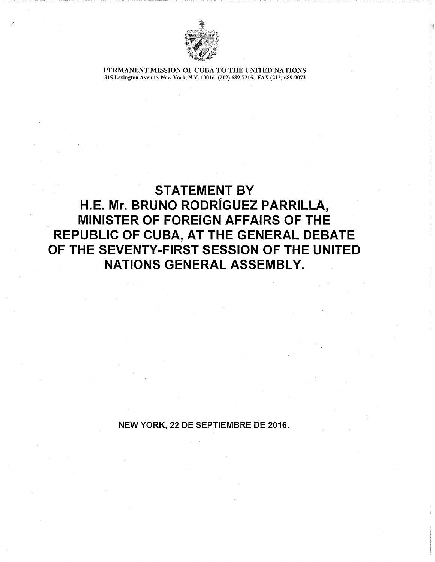

PERMANENT MISSION OF CUBA TO THE UNITED NATIONS 315 Lexington Avenue, New York, N.Y. 10016 (212) 689-7215, FAX (212) 689-9073

## STATEMENT BY H.E. Mr. BRUNO RODRiGUEZ PARRILLA, MINISTER OF FOREIGN AFFAIRS OF THE REPUBLIC OF CUBA, AT THE GENERAL DEBATE OF THE SEVENTY-FIRST SESSION OF THE UNITED NATIONS GENERAL ASSEMBLY.

NEW YORK, 22 DE SEPTIEMBRE DE 2016.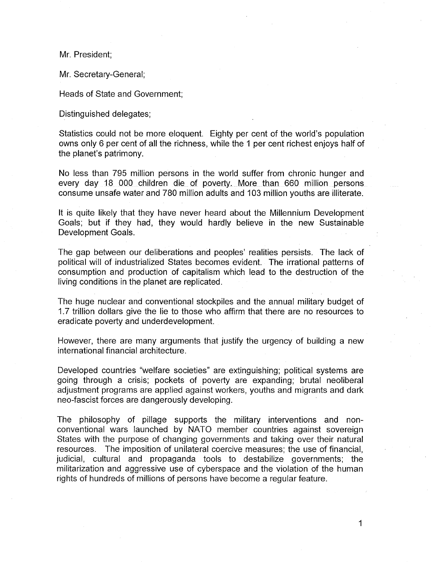Mr. President;

Mr. Secretary-General;

Heads of State and Government;

Distinguished delegates;

Statistics could not be more eloquent. Eighty per cent of the world's population owns only 6 per cent of all the richness, while the 1 per cent richest enjoys half of the planet's patrimony.

No less than 795 million persons in the world suffer from chronic hunger and every day 18 000 children die of poverty. More than 660 million persons consume unsafe water and 780 million adults and 103 million youths are illiterate.

It is quite likely that they have never heard about the Millennium Development Goals; but if they had, they would hardly believe in the new Sustainable Development Goals.

The gap between our deliberations and peoples' realities persists. The lack of political will of industrialized States becomes evident. The irrational patterns of consumption and production of capitalism which lead to the destruction of the living conditions in the planet are replicated.

The huge nuclear and conventional stockpiles and the annual military budget of 1.7 trillion dollars give the lie to those who affirm that there are no resources to eradicate poverty and underdevelopment.

However, there are many arguments that justify the urgency of building a new international financial architecture.

Developed countries "welfare societies" are extinguishing; political systems are going through a crisis; pockets of poverty are expanding; brutal neoliberal adjustment programs are applied against workers, youths and migrants and dark neo-fascist forces are dangerously developing.

The philosophy of pillage supports the military interventions and nonconventional wars launched by NATO member countries against sovereign States with the purpose of changing governments and taking over their natural resources. The imposition of unilateral coercive measures; the use of financial, judicial, cultural and propaganda tools to destabilize governments; the militarization and aggressive use of cyberspace and the violation of the human rights of hundreds of millions of persons have become a regular feature.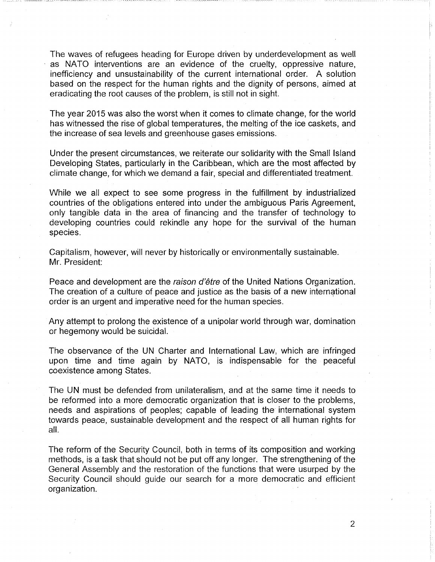The waves of refugees heading for Europe driven by underdevelopment as well as NATO interventions are an evidence of the cruelty, oppressive nature, inefficiency and unsustainability of the current international order. A solution based on the respect for the human rights and the dignity of persons, aimed at eradicating the root causes of the problem, is still not in sight.

The year 2015 was also the worst when it comes to climate change, for the world has witnessed the rise of global temperatures, the melting of the ice caskets, and the increase of sea levels and greenhouse gases emissions.

Under the present circumstances, we reiterate our solidarity with the Small Island Developing States, particularly in the Caribbean, which are the most affected by climate change, for which we demand a fair, special and differentiated treatment.

While we all expect to see some progress in the fulfillment by industrialized countries of the obligations entered into under the ambiguous Paris Agreement, only tangible data in the area of financing and the transfer of technology to developing countries could rekindle any hope for the survival of the human species.

Capitalism, however, will never by historically or environmentally sustainable. Mr. President:

Peace and development are the raison d'être of the United Nations Organization. The creation of a culture of peace and justice as the basis of a new international order is an urgent and imperative need for the human species.

Any attempt to prolong the existence of a unipolar world through war, domination or hegemony would be suicidal.

The observance of the UN Charter and International Law, which are infringed upon time and time again by NATO, is indispensable for the peaceful coexistence among States.

The UN must be defended from unilateralism, and at the same time it needs to be reformed into a more democratic organization that is closer to the problems, needs and aspirations of peoples; capable of leading the international system towards peace, sustainable development and the respect of all human rights for all.

The reform of the Security Council, both in terms of its composition and working methods, is a task that should not be put off any longer. The strengthening of the General Assembly and the restoration of the functions that were usurped by the Security Council should guide our search for a more democratic and efficient organization.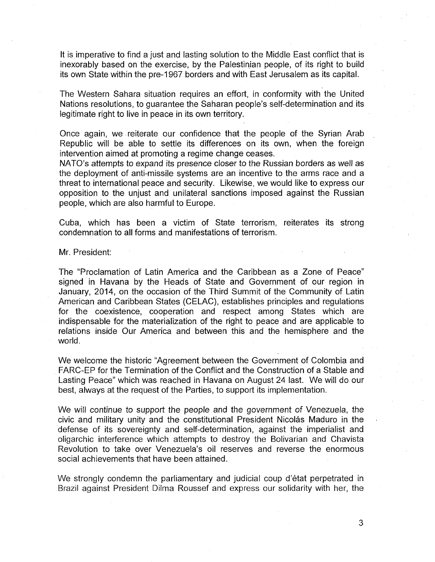It is imperative to find a just and lasting solution to the Middle East conflict that is inexorably based on the exercise, by the Palestinian people, of its right to build its own State within the pre-1967 borders and with East Jerusalem as its capital.

The Western Sahara situation requires an effort, in conformity with the United Nations resolutions, to guarantee the Saharan people's self-determination and its legitimate right to live in peace in its own territory.

Once again, we reiterate our confidence that the people of the Syrian Arab Republic will be able to settle its differences on its own, when the foreign intervention aimed at promoting a regime change ceases.

NATO's attempts to expand its presence closer to the Russian borders as well as the deployment of anti-missile systems are an incentive to the arms race and a threat to international peace and security. Likewise, we would like to express our opposition to the unjust and unilateral sanctions imposed against the Russian people, which are also harmful to Europe.

Cuba, which has been a victim of State terrorism, reiterates its strong condemnation to all forms and manifestations of terrorism.

Mr. President:

The "Proclamation of Latin America and the Caribbean as a Zone of Peace" signed in Havana by the Heads of State and Government of our region in January, 2014, on the occasion of the Third Summit of the Community of Latin American and Caribbean States (CELAC), establishes principles and regulations for the coexistence, cooperation and respect among States which are indispensable for the materialization of the right to peace and are applicable to relations inside Our America and between this and the hemisphere and the world.

We welcome the historic "Agreement between the Government of Colombia and FARC-EP for the Termination of the Conflict and the Construction of a Stable and Lasting Peace" which was reached in Havana on August 24 last. We will do our best, always at the request of the Parties, to support its implementation.

We will continue to support the people and the government of Venezuela, the civic and military unity and the constitutional President Nicolás Maduro in the defense of its sovereignty and self-determination, against the imperialist and oligarchic interference which attempts to destroy the Bolivarian and Chavista Revolution to take over Venezuela's oil reserves and reverse the enormous social achievements that have been attained.

We strongly condemn the parliamentary and judicial coup d'état perpetrated in Brazil against President Dilma Roussef and express our solidarity with her, the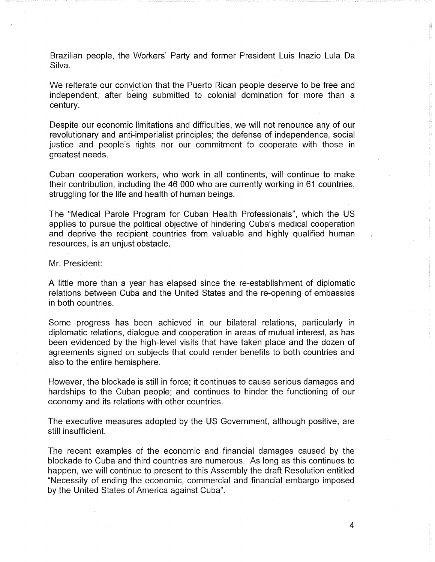Brazilian people, the Workers' Party and former President Luis Inazio Lula Da Silva.

We reiterate our conviction that the Puerto Rican people deserve to be free and independent, after being submitted to colonial domination for more than a century.

Despite our economic limitations and difficulties, we will not renounce any of our revolutionary and anti-imperialist principles; the defense of independence, social justice and people's rights nor our commitment to cooperate with those in greatest needs.

Cuban cooperation workers, who work in all continents, will continue to make their contribution, including the 46 000 who are currently working in 61 countries, struggling for the life and health of human beings.

The "Medical Parole Program for Cuban Health Professionals", which the US applies to pursue the political objective of hindering Cuba's medical cooperation and deprive the recipient countries from valuable and highly qualified human resources, is an unjust obstacle.

Mr. President:

A little more than a year has elapsed since the re-establishment of diplomatic relations between Cuba and the United States and the re-opening of embassies in both countries.

Some progress has been achieved in our bilateral relations, particularly in diplomatic relations, dialogue and cooperation in areas of mutual interest, as has been evidenced by the high-level visits that have taken place and the dozen of agreements signed on subjects that could render benefits to both countries and also to the entire hemisphere.

However, the blockade is still in force; it continues to cause serious damages and hardships to the Cuban people; and continues to hinder the functioning of our economy and its relations with other countries.

The executive measures adopted by the US Government, although positive, are still insufficient.

The recent examples of the economic and financial damages caused by the blockade to Cuba and third countries are numerous. As long as this continues to happen, we will continue to present to this Assembly the draft Resolution entitled "Necessity of ending the economic, commercial and financial embargo imposed by the United States of America against Cuba".